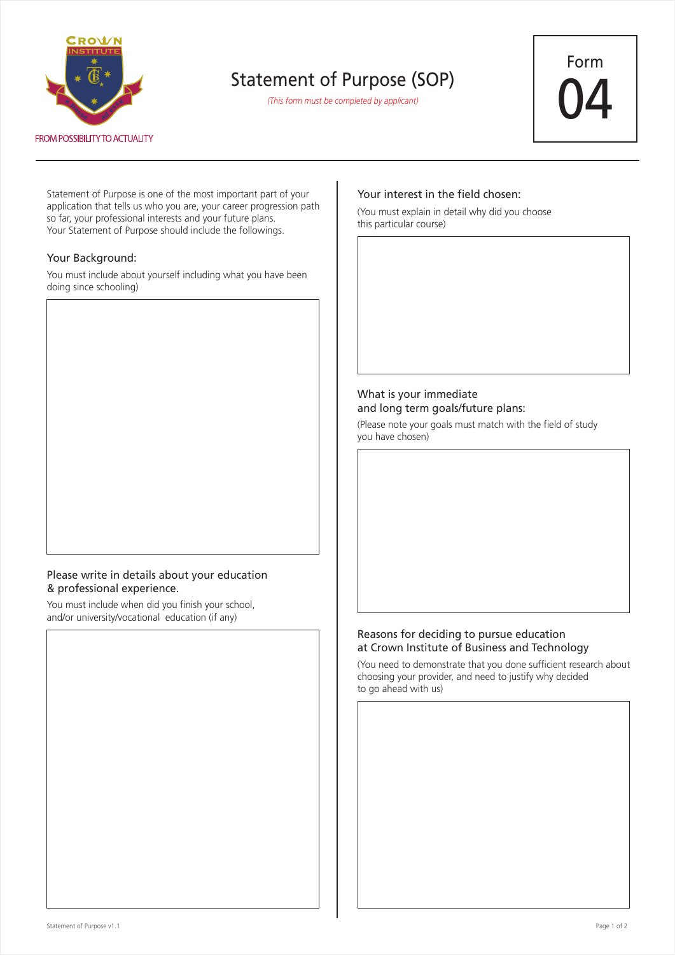

## Statement of Purpose (SOP)

*(This form must be completed by applicant)*



Statement of Purpose is one of the most important part of your application that tells us who you are, your career progression path so far, your professional interests and your future plans. Your Statement of Purpose should include the followings.

### Your Background:

You must include about yourself including what you have been doing since schooling)

## Please write in details about your education & professional experience.

You must include when did you finish your school, and/or university/vocational education (if any)

## Your interest in the field chosen:

(You must explain in detail why did you choose this particular course)

## What is your immediate and long term goals/future plans:

(Please note your goals must match with the field of study you have chosen)

### Reasons for deciding to pursue education at Crown Institute of Business and Technology

(You need to demonstrate that you done sufficient research about choosing your provider, and need to justify why decided to go ahead with us)